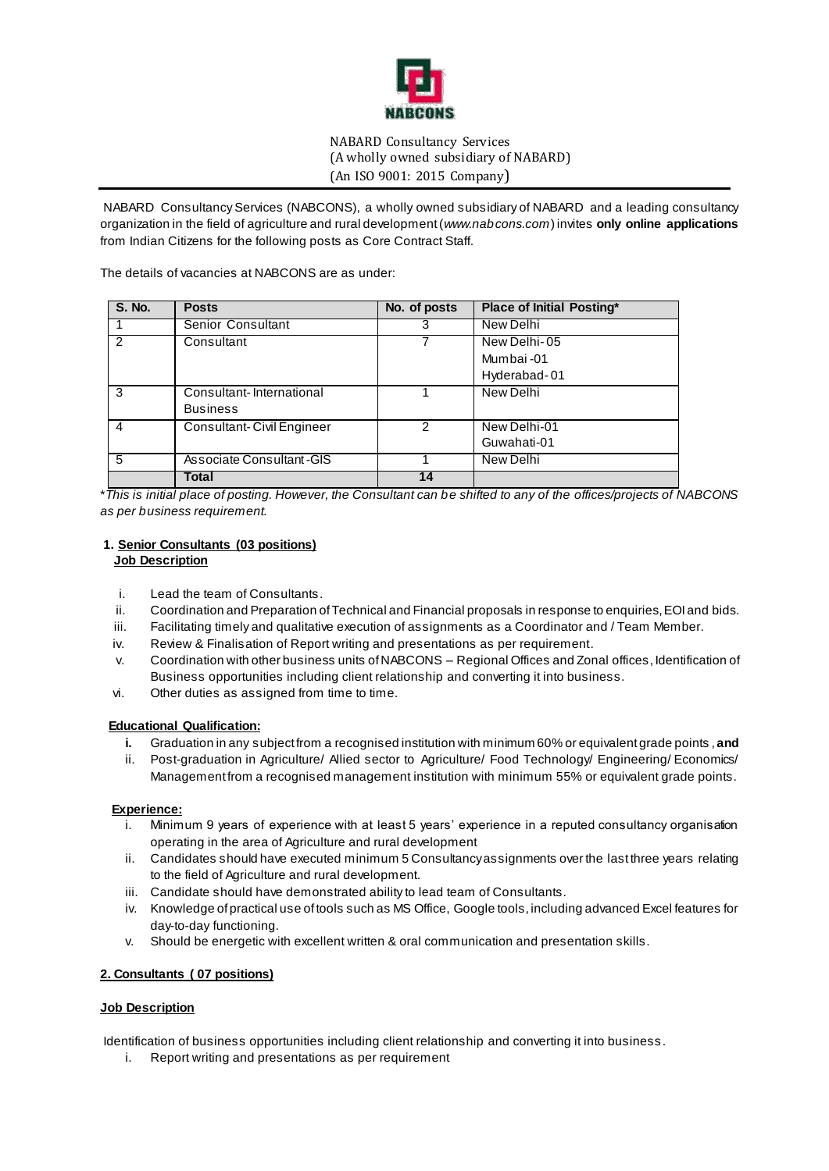

# NABARD Consultancy Services (A wholly owned subsidiary of NABARD) (An ISO 9001: 2015 Company)

֖֖֖֖֚֚֚֚֚֚֬ NABARD Consultancy Services (NABCONS), a wholly owned subsidiary of NABARD and a leading consultancy organization in the field of agriculture and rural development (*www.nabcons.com*) invites **only online applications** from Indian Citizens for the following posts as Core Contract Staff.

The details of vacancies at NABCONS are as under:

| <b>S. No.</b> | <b>Posts</b>              | No. of posts | <b>Place of Initial Posting*</b> |
|---------------|---------------------------|--------------|----------------------------------|
|               | Senior Consultant         | з            | New Delhi                        |
| $\mathcal{P}$ | Consultant                |              | New Delhi-05                     |
|               |                           |              | Mumbai-01                        |
|               |                           |              | Hyderabad-01                     |
| 3             | Consultant-International  |              | New Delhi                        |
|               | <b>Business</b>           |              |                                  |
| 4             | Consultant-Civil Engineer | 2            | New Delhi-01                     |
|               |                           |              | Guwahati-01                      |
| 5             | Associate Consultant-GIS  |              | New Delhi                        |
|               | Total                     | 14           |                                  |

\**This is initial place of posting. However, the Consultant can be shifted to any of the offices/projects of NABCONS as per business requirement.*

# **1. Senior Consultants (03 positions) Job Description**

- i. Lead the team of Consultants.
- ii. Coordination and Preparation of Technical and Financial proposals in response to enquiries, EOI and bids.
- iii. Facilitating timely and qualitative execution of assignments as a Coordinator and / Team Member.
- iv. Review & Finalisation of Report writing and presentations as per requirement.
- v. Coordination with other business units of NABCONS Regional Offices and Zonal offices, Identification of Business opportunities including client relationship and converting it into business.
- vi. Other duties as assigned from time to time.

# **Educational Qualification:**

- **i.** Graduation in any subject from a recognised institution with minimum 60% or equivalent grade points , **and**
- ii. Post-graduation in Agriculture/ Allied sector to Agriculture/ Food Technology/ Engineering/ Economics/ Management from a recognised management institution with minimum 55% or equivalent grade points.

# **Experience:**

- i. Minimum 9 years of experience with at least 5 years' experience in a reputed consultancy organisation operating in the area of Agriculture and rural development
- ii. Candidates should have executed minimum 5 Consultancy assignments over the last three years relating to the field of Agriculture and rural development.
- iii. Candidate should have demonstrated ability to lead team of Consultants.
- iv. Knowledge of practical use of tools such as MS Office, Google tools, including advanced Excel features for day-to-day functioning.
- v. Should be energetic with excellent written & oral communication and presentation skills.

# **2. Consultants ( 07 positions)**

# **Job Description**

Identification of business opportunities including client relationship and converting it into business .

i. Report writing and presentations as per requirement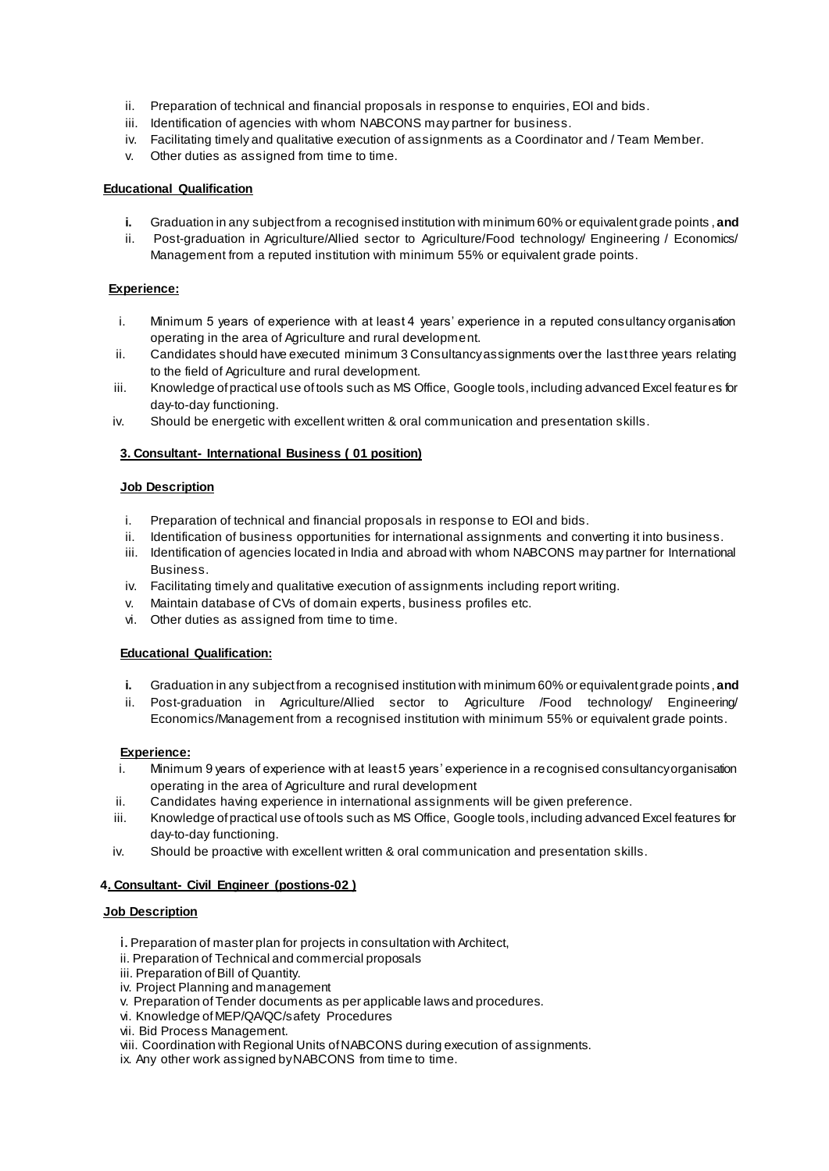- ii. Preparation of technical and financial proposals in response to enquiries, EOI and bids.
- iii. Identification of agencies with whom NABCONS may partner for business.
- iv. Facilitating timely and qualitative execution of assignments as a Coordinator and / Team Member.
- v. Other duties as assigned from time to time.

# **Educational Qualification**

- **i.** Graduation in any subject from a recognised institution with minimum 60% or equivalent grade points , **and**
- ii. Post-graduation in Agriculture/Allied sector to Agriculture/Food technology/ Engineering / Economics/ Management from a reputed institution with minimum 55% or equivalent grade points.

### **Experience:**

- i. Minimum 5 years of experience with at least 4 years' experience in a reputed consultancy organisation operating in the area of Agriculture and rural development.
- ii. Candidates should have executed minimum 3 Consultancy assignments over the last three years relating to the field of Agriculture and rural development.
- iii. Knowledge of practical use of tools such as MS Office, Google tools, including advanced Excel features for day-to-day functioning.
- iv. Should be energetic with excellent written & oral communication and presentation skills.

### **3. Consultant- International Business ( 01 position)**

### **Job Description**

- i. Preparation of technical and financial proposals in response to EOI and bids.<br>ii. Identification of business opportunities for international assignments and con
- Identification of business opportunities for international assignments and converting it into business.
- iii. Identification of agencies located in India and abroad with whom NABCONS may partner for International **Business**
- iv. Facilitating timely and qualitative execution of assignments including report writing.
- v. Maintain database of CVs of domain experts, business profiles etc.
- vi. Other duties as assigned from time to time.

# **Educational Qualification:**

- **i.** Graduation in any subject from a recognised institution with minimum 60% or equivalent grade points , **and**
- ii. Post-graduation in Agriculture/Allied sector to Agriculture /Food technology/ Engineering/ Economics/Management from a recognised institution with minimum 55% or equivalent grade points.

# **Experience:**

- i. Minimum 9 years of experience with at least 5 years' experience in a recognised consultancy organisation operating in the area of Agriculture and rural development
- ii. Candidates having experience in international assignments will be given preference.
- iii. Knowledge of practical use of tools such as MS Office, Google tools, including advanced Excel features for day-to-day functioning.
- iv. Should be proactive with excellent written & oral communication and presentation skills.

#### **4. Consultant- Civil Engineer (postions-02 )**

#### **Job Description**

- i. Preparation of master plan for projects in consultation with Architect,
- ii. Preparation of Technical and commercial proposals
- iii. Preparation of Bill of Quantity.
- iv. Project Planning and management
- v. Preparation of Tender documents as per applicable laws and procedures.
- vi. Knowledge of MEP/QA/QC/safety Procedures
- vii. Bid Process Management.
- viii. Coordination with Regional Units of NABCONS during execution of assignments.
- ix. Any other work assigned by NABCONS from time to time.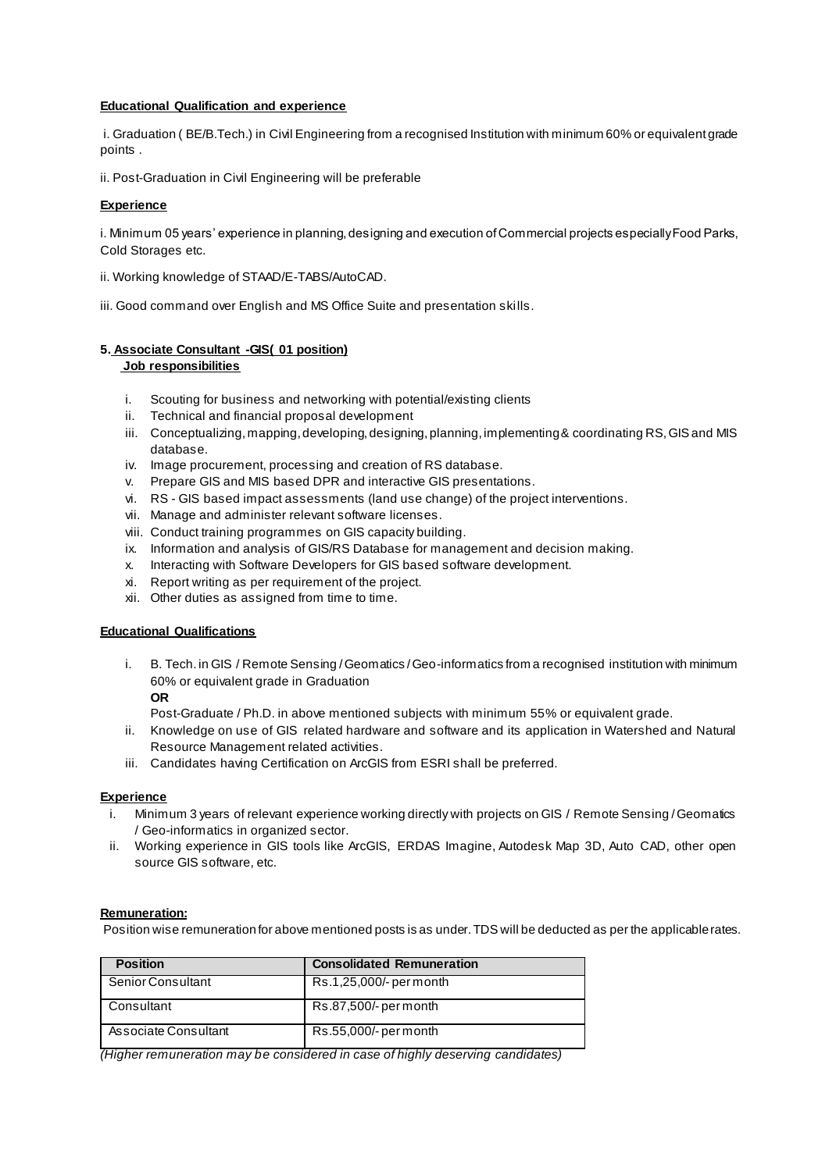### **Educational Qualification and experience**

i. Graduation ( BE/B.Tech.) in Civil Engineering from a recognised Institution with minimum 60% or equivalent grade points .

ii. Post-Graduation in Civil Engineering will be preferable

### **Experience**

i. Minimum 05 years' experience in planning, designing and execution of Commercial projects especially Food Parks, Cold Storages etc.

- ii. Working knowledge of STAAD/E-TABS/AutoCAD.
- iii. Good command over English and MS Office Suite and presentation skills.

# **5. Associate Consultant -GIS( 01 position) Job responsibilities**

- i. Scouting for business and networking with potential/existing clients
- ii. Technical and financial proposal development
- iii. Conceptualizing, mapping, developing, designing, planning, implementing & coordinating RS, GIS and MIS database.
- iv. Image procurement, processing and creation of RS database.
- v. Prepare GIS and MIS based DPR and interactive GIS presentations.
- vi. RS GIS based impact assessments (land use change) of the project interventions.
- vii. Manage and administer relevant software licenses.
- viii. Conduct training programmes on GIS capacity building.
- ix. Information and analysis of GIS/RS Database for management and decision making.
- x. Interacting with Software Developers for GIS based software development.
- xi. Report writing as per requirement of the project.
- xii. Other duties as assigned from time to time.

### **Educational Qualifications**

- i. B. Tech. in GIS / Remote Sensing / Geomatics / Geo-informatics from a recognised institution with minimum 60% or equivalent grade in Graduation
	- **OR**

Post-Graduate / Ph.D. in above mentioned subjects with minimum 55% or equivalent grade.

- ii. Knowledge on use of GIS related hardware and software and its application in Watershed and Natural Resource Management related activities.
- iii. Candidates having Certification on ArcGIS from ESRI shall be preferred.

#### **Experience**

- i. Minimum 3 years of relevant experience working directly with projects on GIS / Remote Sensing / Geomatics / Geo-informatics in organized sector.
- ii. Working experience in GIS tools like ArcGIS, ERDAS Imagine, Autodesk Map 3D, Auto CAD, other open source GIS software, etc.

#### **Remuneration:**

Position wise remuneration for above mentioned posts is as under. TDS will be deducted as per the applicable rates.

| <b>Position</b>      | <b>Consolidated Remuneration</b> |
|----------------------|----------------------------------|
| Senior Consultant    | Rs.1,25,000/- per month          |
| Consultant           | Rs.87,500/- per month            |
| Associate Consultant | Rs.55,000/- per month            |

*(Higher remuneration may be considered in case of highly deserving candidates)*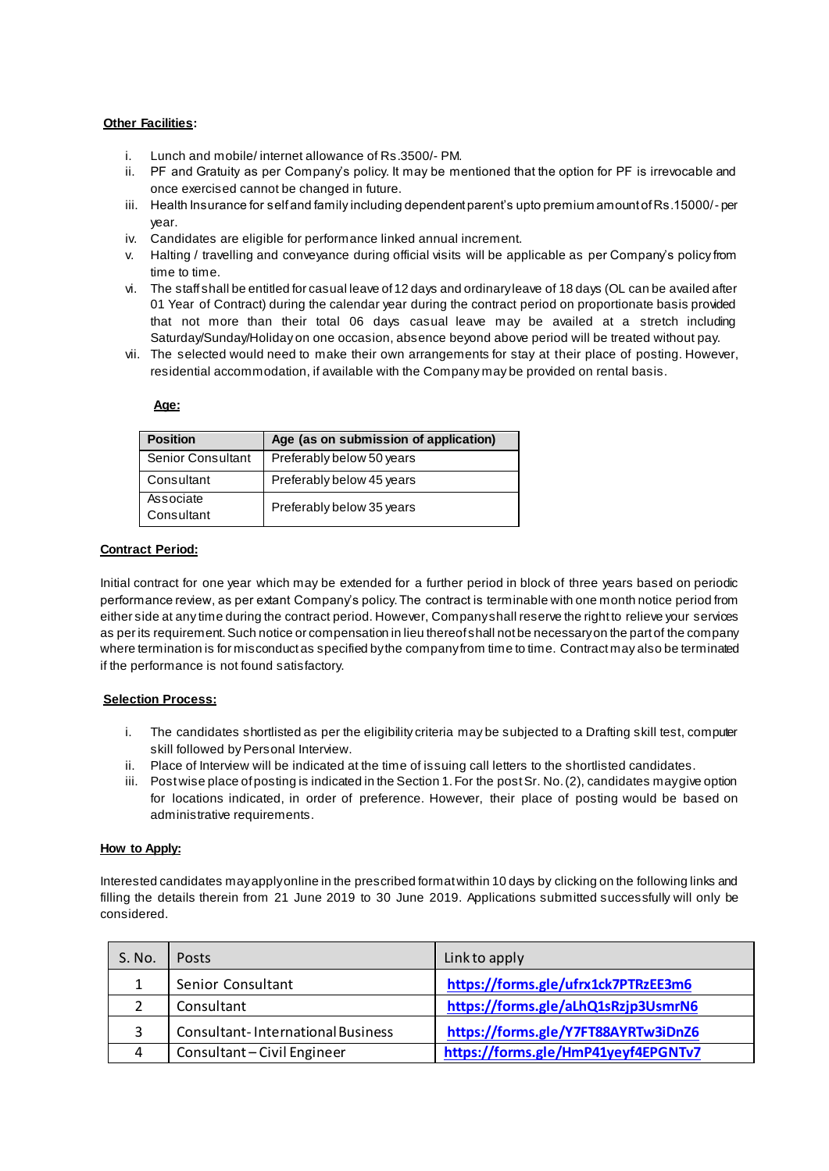### **Other Facilities:**

- i. Lunch and mobile/ internet allowance of Rs.3500/- PM.
- ii. PF and Gratuity as per Company's policy. It may be mentioned that the option for PF is irrevocable and once exercised cannot be changed in future.
- iii. Health Insurance for self and family including dependent parent's upto premium amount of Rs.15000/- per year.
- iv. Candidates are eligible for performance linked annual increment.
- v. Halting / travelling and conveyance during official visits will be applicable as per Company's policy from time to time.
- vi. The staff shall be entitled for casual leave of 12 days and ordinary leave of 18 days (OL can be availed after 01 Year of Contract) during the calendar year during the contract period on proportionate basis provided that not more than their total 06 days casual leave may be availed at a stretch including Saturday/Sunday/Holiday on one occasion, absence beyond above period will be treated without pay.
- vii. The selected would need to make their own arrangements for stay at their place of posting. However, residential accommodation, if available with the Company may be provided on rental basis.

#### **Age:**

| <b>Position</b>         | Age (as on submission of application) |
|-------------------------|---------------------------------------|
| Senior Consultant       | Preferably below 50 years             |
| Consultant              | Preferably below 45 years             |
| Associate<br>Consultant | Preferably below 35 years             |

### **Contract Period:**

Initial contract for one year which may be extended for a further period in block of three years based on periodic performance review, as per extant Company's policy. The contract is terminable with one month notice period from either side at any time during the contract period. However, Company shall reserve the right to relieve your services as per its requirement. Such notice or compensation in lieu thereof shall not be necessary on the part of the company where termination is for misconduct as specified by the company from time to time. Contract may also be terminated if the performance is not found satisfactory.

# **Selection Process:**

- i. The candidates shortlisted as per the eligibility criteria may be subjected to a Drafting skill test, computer skill followed by Personal Interview.
- ii. Place of Interview will be indicated at the time of issuing call letters to the shortlisted candidates.
- iii. Post wise place of posting is indicated in the Section 1. For the post Sr. No. (2), candidates may give option for locations indicated, in order of preference. However, their place of posting would be based on administrative requirements.

### **How to Apply:**

Interested candidates may apply online in the prescribed format within 10 days by clicking on the following links and filling the details therein from 21 June 2019 to 30 June 2019. Applications submitted successfully will only be considered.

| S. No. | Posts                                    | Link to apply                       |
|--------|------------------------------------------|-------------------------------------|
|        | Senior Consultant                        | https://forms.gle/ufrx1ck7PTRzEE3m6 |
|        | Consultant                               | https://forms.gle/aLhQ1sRzjp3UsmrN6 |
| 3      | <b>Consultant-International Business</b> | https://forms.gle/Y7FT88AYRTw3iDnZ6 |
| 4      | Consultant - Civil Engineer              | https://forms.gle/HmP41yeyf4EPGNTv7 |